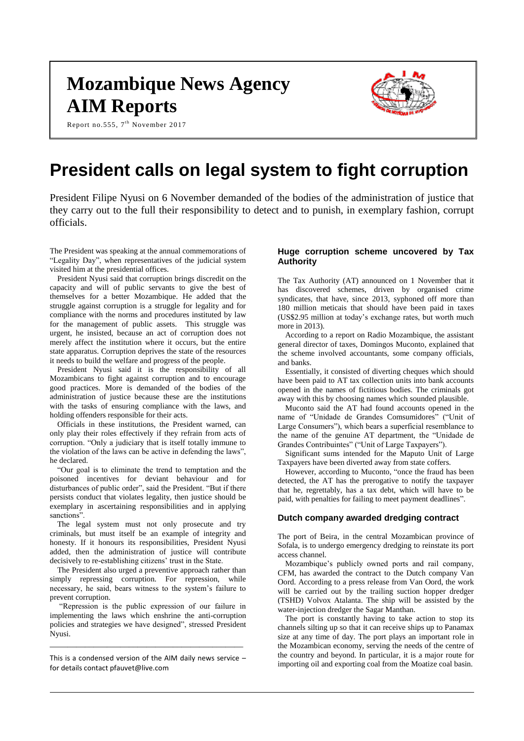# **Mozambique News Agency AIM Reports**

Report no.555, 7<sup>th</sup> November 2017



## **President calls on legal system to fight corruption**

President Filipe Nyusi on 6 November demanded of the bodies of the administration of justice that they carry out to the full their responsibility to detect and to punish, in exemplary fashion, corrupt officials.

The President was speaking at the annual commemorations of "Legality Day", when representatives of the judicial system visited him at the presidential offices.

President Nyusi said that corruption brings discredit on the capacity and will of public servants to give the best of themselves for a better Mozambique. He added that the struggle against corruption is a struggle for legality and for compliance with the norms and procedures instituted by law for the management of public assets. This struggle was urgent, he insisted, because an act of corruption does not merely affect the institution where it occurs, but the entire state apparatus. Corruption deprives the state of the resources it needs to build the welfare and progress of the people.

President Nyusi said it is the responsibility of all Mozambicans to fight against corruption and to encourage good practices. More is demanded of the bodies of the administration of justice because these are the institutions with the tasks of ensuring compliance with the laws, and holding offenders responsible for their acts.

Officials in these institutions, the President warned, can only play their roles effectively if they refrain from acts of corruption. "Only a judiciary that is itself totally immune to the violation of the laws can be active in defending the laws", he declared.

"Our goal is to eliminate the trend to temptation and the poisoned incentives for deviant behaviour and for disturbances of public order", said the President. "But if there persists conduct that violates legality, then justice should be exemplary in ascertaining responsibilities and in applying sanctions".

The legal system must not only prosecute and try criminals, but must itself be an example of integrity and honesty. If it honours its responsibilities, President Nyusi added, then the administration of justice will contribute decisively to re-establishing citizens' trust in the State.

The President also urged a preventive approach rather than simply repressing corruption. For repression, while necessary, he said, bears witness to the system's failure to prevent corruption.

"Repression is the public expression of our failure in implementing the laws which enshrine the anti-corruption policies and strategies we have designed", stressed President Nyusi.

This is a condensed version of the AIM daily news service – for details contact [pfauvet@live.com](mailto:pfauvet@live.com)

\_\_\_\_\_\_\_\_\_\_\_\_\_\_\_\_\_\_\_\_\_\_\_\_\_\_\_\_\_\_\_\_\_\_\_\_\_\_\_\_\_\_\_\_

#### **Huge corruption scheme uncovered by Tax Authority**

The Tax Authority (AT) announced on 1 November that it has discovered schemes, driven by organised crime syndicates, that have, since 2013, syphoned off more than 180 million meticais that should have been paid in taxes (US\$2.95 million at today's exchange rates, but worth much more in 2013).

According to a report on Radio Mozambique, the assistant general director of taxes, Domingos Muconto, explained that the scheme involved accountants, some company officials, and banks.

Essentially, it consisted of diverting cheques which should have been paid to AT tax collection units into bank accounts opened in the names of fictitious bodies. The criminals got away with this by choosing names which sounded plausible.

Muconto said the AT had found accounts opened in the name of "Unidade de Grandes Comsumidores" ("Unit of Large Consumers"), which bears a superficial resemblance to the name of the genuine AT department, the "Unidade de Grandes Contribuintes" ("Unit of Large Taxpayers").

Significant sums intended for the Maputo Unit of Large Taxpayers have been diverted away from state coffers.

However, according to Muconto, "once the fraud has been detected, the AT has the prerogative to notify the taxpayer that he, regrettably, has a tax debt, which will have to be paid, with penalties for failing to meet payment deadlines".

#### **Dutch company awarded dredging contract**

The port of Beira, in the central Mozambican province of Sofala, is to undergo emergency dredging to reinstate its port access channel.

Mozambique's publicly owned ports and rail company, CFM, has awarded the contract to the Dutch company Van Oord. According to a press release from Van Oord, the work will be carried out by the trailing suction hopper dredger (TSHD) Volvox Atalanta. The ship will be assisted by the water-injection dredger the Sagar Manthan.

The port is constantly having to take action to stop its channels silting up so that it can receive ships up to Panamax size at any time of day. The port plays an important role in the Mozambican economy, serving the needs of the centre of the country and beyond. In particular, it is a major route for importing oil and exporting coal from the Moatize coal basin.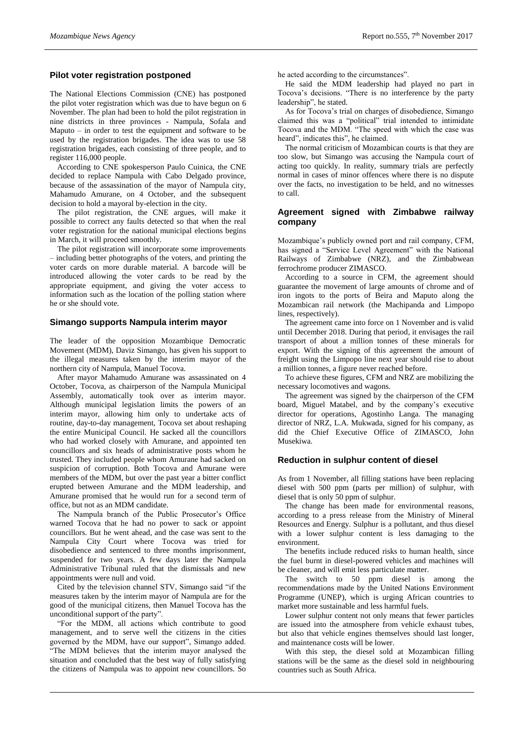## **Pilot voter registration postponed**

The National Elections Commission (CNE) has postponed the pilot voter registration which was due to have begun on 6 November. The plan had been to hold the pilot registration in nine districts in three provinces - Nampula, Sofala and Maputo – in order to test the equipment and software to be used by the registration brigades. The idea was to use 58 registration brigades, each consisting of three people, and to register 116,000 people.

According to CNE spokesperson Paulo Cuinica, the CNE decided to replace Nampula with Cabo Delgado province, because of the assassination of the mayor of Nampula city, Mahamudo Amurane, on 4 October, and the subsequent decision to hold a mayoral by-election in the city.

The pilot registration, the CNE argues, will make it possible to correct any faults detected so that when the real voter registration for the national municipal elections begins in March, it will proceed smoothly.

The pilot registration will incorporate some improvements – including better photographs of the voters, and printing the voter cards on more durable material. A barcode will be introduced allowing the voter cards to be read by the appropriate equipment, and giving the voter access to information such as the location of the polling station where he or she should vote.

#### **Simango supports Nampula interim mayor**

The leader of the opposition Mozambique Democratic Movement (MDM), Daviz Simango, has given his support to the illegal measures taken by the interim mayor of the northern city of Nampula, Manuel Tocova.

After mayor Mahamudo Amurane was assassinated on 4 October, Tocova, as chairperson of the Nampula Municipal Assembly, automatically took over as interim mayor. Although municipal legislation limits the powers of an interim mayor, allowing him only to undertake acts of routine, day-to-day management, Tocova set about reshaping the entire Municipal Council. He sacked all the councillors who had worked closely with Amurane, and appointed ten councillors and six heads of administrative posts whom he trusted. They included people whom Amurane had sacked on suspicion of corruption. Both Tocova and Amurane were members of the MDM, but over the past year a bitter conflict erupted between Amurane and the MDM leadership, and Amurane promised that he would run for a second term of office, but not as an MDM candidate.

The Nampula branch of the Public Prosecutor's Office warned Tocova that he had no power to sack or appoint councillors. But he went ahead, and the case was sent to the Nampula City Court where Tocova was tried for disobedience and sentenced to three months imprisonment, suspended for two years. A few days later the Nampula Administrative Tribunal ruled that the dismissals and new appointments were null and void.

Cited by the television channel STV, Simango said "if the measures taken by the interim mayor of Nampula are for the good of the municipal citizens, then Manuel Tocova has the unconditional support of the party".

"For the MDM, all actions which contribute to good management, and to serve well the citizens in the cities governed by the MDM, have our support", Simango added. "The MDM believes that the interim mayor analysed the situation and concluded that the best way of fully satisfying the citizens of Nampula was to appoint new councillors. So

he acted according to the circumstances".

He said the MDM leadership had played no part in Tocova's decisions. "There is no interference by the party leadership", he stated.

As for Tocova's trial on charges of disobedience, Simango claimed this was a "political" trial intended to intimidate Tocova and the MDM. "The speed with which the case was heard", indicates this", he claimed.

The normal criticism of Mozambican courts is that they are too slow, but Simango was accusing the Nampula court of acting too quickly. In reality, summary trials are perfectly normal in cases of minor offences where there is no dispute over the facts, no investigation to be held, and no witnesses to call.

#### **Agreement signed with Zimbabwe railway company**

Mozambique's publicly owned port and rail company, CFM, has signed a "Service Level Agreement" with the National Railways of Zimbabwe (NRZ), and the Zimbabwean ferrochrome producer ZIMASCO.

According to a source in CFM, the agreement should guarantee the movement of large amounts of chrome and of iron ingots to the ports of Beira and Maputo along the Mozambican rail network (the Machipanda and Limpopo lines, respectively).

The agreement came into force on 1 November and is valid until December 2018. During that period, it envisages the rail transport of about a million tonnes of these minerals for export. With the signing of this agreement the amount of freight using the Limpopo line next year should rise to about a million tonnes, a figure never reached before.

To achieve these figures, CFM and NRZ are mobilizing the necessary locomotives and wagons.

The agreement was signed by the chairperson of the CFM board, Miguel Matabel, and by the company's executive director for operations, Agostinho Langa. The managing director of NRZ, L.A. Mukwada, signed for his company, as did the Chief Executive Office of ZIMASCO, John Musekiwa.

#### **Reduction in sulphur content of diesel**

As from 1 November, all filling stations have been replacing diesel with 500 ppm (parts per million) of sulphur, with diesel that is only 50 ppm of sulphur.

The change has been made for environmental reasons, according to a press release from the Ministry of Mineral Resources and Energy. Sulphur is a pollutant, and thus diesel with a lower sulphur content is less damaging to the environment.

The benefits include reduced risks to human health, since the fuel burnt in diesel-powered vehicles and machines will be cleaner, and will emit less particulate matter.

The switch to 50 ppm diesel is among the recommendations made by the United Nations Environment Programme (UNEP), which is urging African countries to market more sustainable and less harmful fuels.

Lower sulphur content not only means that fewer particles are issued into the atmosphere from vehicle exhaust tubes, but also that vehicle engines themselves should last longer, and maintenance costs will be lower.

With this step, the diesel sold at Mozambican filling stations will be the same as the diesel sold in neighbouring countries such as South Africa.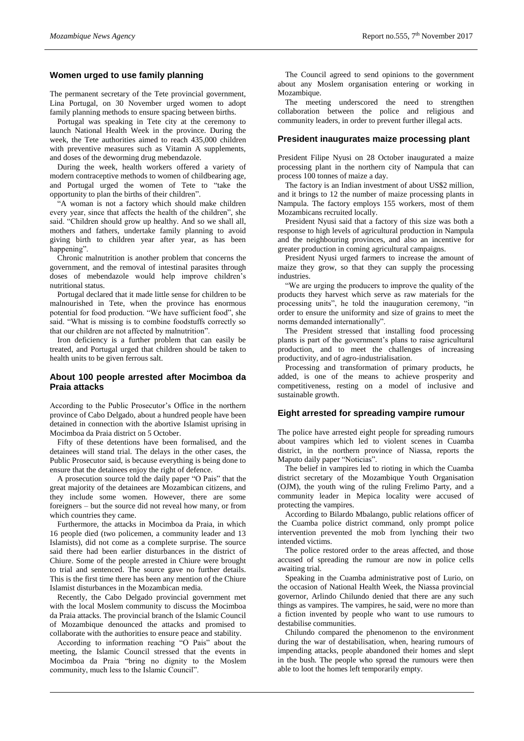#### **Women urged to use family planning**

The permanent secretary of the Tete provincial government, Lina Portugal, on 30 November urged women to adopt family planning methods to ensure spacing between births.

Portugal was speaking in Tete city at the ceremony to launch National Health Week in the province. During the week, the Tete authorities aimed to reach 435,000 children with preventive measures such as Vitamin A supplements, and doses of the deworming drug mebendazole.

During the week, health workers offered a variety of modern contraceptive methods to women of childbearing age, and Portugal urged the women of Tete to "take the opportunity to plan the births of their children".

"A woman is not a factory which should make children every year, since that affects the health of the children", she said. "Children should grow up healthy. And so we shall all, mothers and fathers, undertake family planning to avoid giving birth to children year after year, as has been happening".

Chronic malnutrition is another problem that concerns the government, and the removal of intestinal parasites through doses of mebendazole would help improve children's nutritional status.

Portugal declared that it made little sense for children to be malnourished in Tete, when the province has enormous potential for food production. "We have sufficient food", she said. "What is missing is to combine foodstuffs correctly so that our children are not affected by malnutrition".

Iron deficiency is a further problem that can easily be treated, and Portugal urged that children should be taken to health units to be given ferrous salt.

#### **About 100 people arrested after Mocimboa da Praia attacks**

According to the Public Prosecutor's Office in the northern province of Cabo Delgado, about a hundred people have been detained in connection with the abortive Islamist uprising in Mocimboa da Praia district on 5 October.

Fifty of these detentions have been formalised, and the detainees will stand trial. The delays in the other cases, the Public Prosecutor said, is because everything is being done to ensure that the detainees enjoy the right of defence.

A prosecution source told the daily paper "O Pais" that the great majority of the detainees are Mozambican citizens, and they include some women. However, there are some foreigners – but the source did not reveal how many, or from which countries they came.

Furthermore, the attacks in Mocimboa da Praia, in which 16 people died (two policemen, a community leader and 13 Islamists), did not come as a complete surprise. The source said there had been earlier disturbances in the district of Chiure. Some of the people arrested in Chiure were brought to trial and sentenced. The source gave no further details. This is the first time there has been any mention of the Chiure Islamist disturbances in the Mozambican media.

Recently, the Cabo Delgado provincial government met with the local Moslem community to discuss the Mocimboa da Praia attacks. The provincial branch of the Islamic Council of Mozambique denounced the attacks and promised to collaborate with the authorities to ensure peace and stability.

According to information reaching "O Pais" about the meeting, the Islamic Council stressed that the events in Mocimboa da Praia "bring no dignity to the Moslem community, much less to the Islamic Council".

The Council agreed to send opinions to the government about any Moslem organisation entering or working in Mozambique.

The meeting underscored the need to strengthen collaboration between the police and religious and community leaders, in order to prevent further illegal acts.

#### **President inaugurates maize processing plant**

President Filipe Nyusi on 28 October inaugurated a maize processing plant in the northern city of Nampula that can process 100 tonnes of maize a day.

The factory is an Indian investment of about US\$2 million, and it brings to 12 the number of maize processing plants in Nampula. The factory employs 155 workers, most of them Mozambicans recruited locally.

President Nyusi said that a factory of this size was both a response to high levels of agricultural production in Nampula and the neighbouring provinces, and also an incentive for greater production in coming agricultural campaigns.

President Nyusi urged farmers to increase the amount of maize they grow, so that they can supply the processing industries.

"We are urging the producers to improve the quality of the products they harvest which serve as raw materials for the processing units", he told the inauguration ceremony, "in order to ensure the uniformity and size of grains to meet the norms demanded internationally".

The President stressed that installing food processing plants is part of the government's plans to raise agricultural production, and to meet the challenges of increasing productivity, and of agro-industrialisation.

Processing and transformation of primary products, he added, is one of the means to achieve prosperity and competitiveness, resting on a model of inclusive and sustainable growth.

## **Eight arrested for spreading vampire rumour**

The police have arrested eight people for spreading rumours about vampires which led to violent scenes in Cuamba district, in the northern province of Niassa, reports the Maputo daily paper "Noticias".

The belief in vampires led to rioting in which the Cuamba district secretary of the Mozambique Youth Organisation (OJM), the youth wing of the ruling Frelimo Party, and a community leader in Mepica locality were accused of protecting the vampires.

According to Bilardo Mbalango, public relations officer of the Cuamba police district command, only prompt police intervention prevented the mob from lynching their two intended victims.

The police restored order to the areas affected, and those accused of spreading the rumour are now in police cells awaiting trial.

Speaking in the Cuamba administrative post of Lurio, on the occasion of National Health Week, the Niassa provincial governor, Arlindo Chilundo denied that there are any such things as vampires. The vampires, he said, were no more than a fiction invented by people who want to use rumours to destabilise communities.

Chilundo compared the phenomenon to the environment during the war of destabilisation, when, hearing rumours of impending attacks, people abandoned their homes and slept in the bush. The people who spread the rumours were then able to loot the homes left temporarily empty.